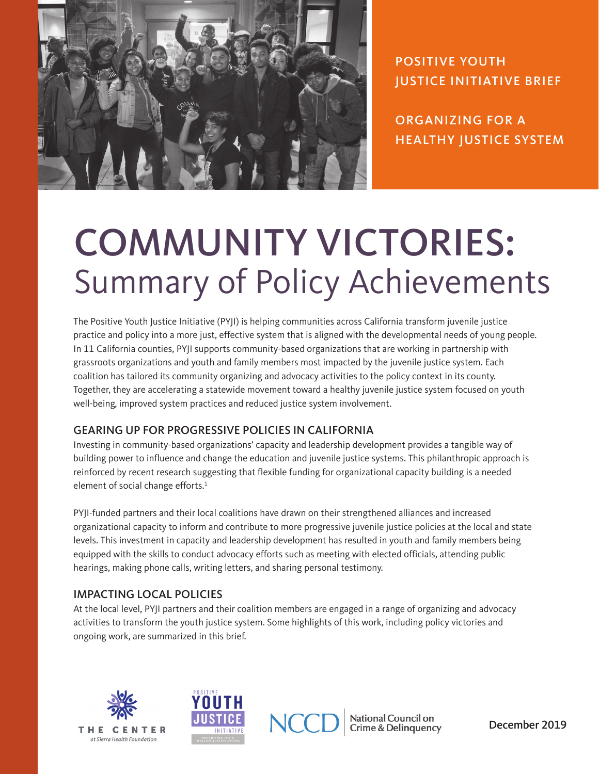

POSITIVE YOUTH JUSTICE INITIATIVE BRIEF

ORGANIZING FOR A HEALTHY JUSTICE SYSTEM

# COMMUNITY VICTORIES: Summary of Policy Achievements

The Positive Youth Justice Initiative (PYJI) is helping communities across California transform juvenile justice practice and policy into a more just, effective system that is aligned with the developmental needs of young people. In 11 California counties, PYJI supports community-based organizations that are working in partnership with grassroots organizations and youth and family members most impacted by the juvenile justice system. Each coalition has tailored its community organizing and advocacy activities to the policy context in its county. Together, they are accelerating a statewide movement toward a healthy juvenile justice system focused on youth well-being, improved system practices and reduced justice system involvement.

## GEARING UP FOR PROGRESSIVE POLICIES IN CALIFORNIA

Investing in community-based organizations' capacity and leadership development provides a tangible way of building power to influence and change the education and juvenile justice systems. This philanthropic approach is reinforced by recent research suggesting that flexible funding for organizational capacity building is a needed element of social change efforts.<sup>1</sup>

PYJI-funded partners and their local coalitions have drawn on their strengthened alliances and increased organizational capacity to inform and contribute to more progressive juvenile justice policies at the local and state levels. This investment in capacity and leadership development has resulted in youth and family members being equipped with the skills to conduct advocacy efforts such as meeting with elected officials, attending public hearings, making phone calls, writing letters, and sharing personal testimony.

## IMPACTING LOCAL POLICIES

At the local level, PYJI partners and their coalition members are engaged in a range of organizing and advocacy activities to transform the youth justice system. Some highlights of this work, including policy victories and ongoing work, are summarized in this brief.





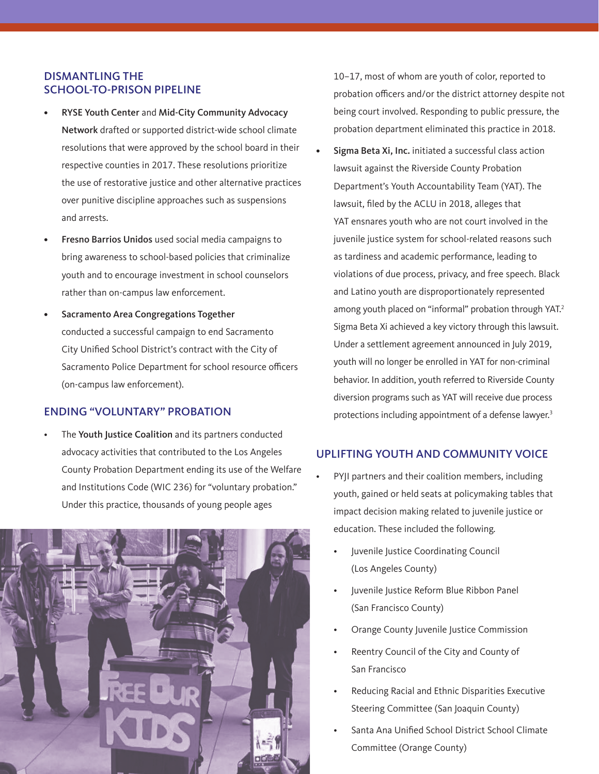#### DISMANTLING THE SCHOOL-TO-PRISON PIPELINE

- RYSE Youth Center and Mid-City Community Advocacy Network drafted or supported district-wide school climate resolutions that were approved by the school board in their respective counties in 2017. These resolutions prioritize the use of restorative justice and other alternative practices over punitive discipline approaches such as suspensions and arrests.
- Fresno Barrios Unidos used social media campaigns to bring awareness to school-based policies that criminalize youth and to encourage investment in school counselors rather than on-campus law enforcement.
- Sacramento Area Congregations Together conducted a successful campaign to end Sacramento City Unified School District's contract with the City of Sacramento Police Department for school resource officers (on-campus law enforcement).

#### ENDING "VOLUNTARY" PROBATION

The Youth Justice Coalition and its partners conducted advocacy activities that contributed to the Los Angeles County Probation Department ending its use of the Welfare and Institutions Code (WIC 236) for "voluntary probation." Under this practice, thousands of young people ages



10–17, most of whom are youth of color, reported to probation officers and/or the district attorney despite not being court involved. Responding to public pressure, the probation department eliminated this practice in 2018.

Sigma Beta Xi, Inc. initiated a successful class action lawsuit against the Riverside County Probation Department's Youth Accountability Team (YAT). The lawsuit, filed by the ACLU in 2018, alleges that YAT ensnares youth who are not court involved in the juvenile justice system for school-related reasons such as tardiness and academic performance, leading to violations of due process, privacy, and free speech. Black and Latino youth are disproportionately represented among youth placed on "informal" probation through YAT.<sup>2</sup> Sigma Beta Xi achieved a key victory through this lawsuit. Under a settlement agreement announced in July 2019, youth will no longer be enrolled in YAT for non-criminal behavior. In addition, youth referred to Riverside County diversion programs such as YAT will receive due process protections including appointment of a defense lawyer.<sup>3</sup>

#### UPLIFTING YOUTH AND COMMUNITY VOICE

- PYJI partners and their coalition members, including youth, gained or held seats at policymaking tables that impact decision making related to juvenile justice or education. These included the following.
	- Juvenile Justice Coordinating Council (Los Angeles County)
	- Juvenile Justice Reform Blue Ribbon Panel (San Francisco County)
	- Orange County Juvenile Justice Commission
	- Reentry Council of the City and County of San Francisco
	- Reducing Racial and Ethnic Disparities Executive Steering Committee (San Joaquin County)
	- Santa Ana Unified School District School Climate Committee (Orange County)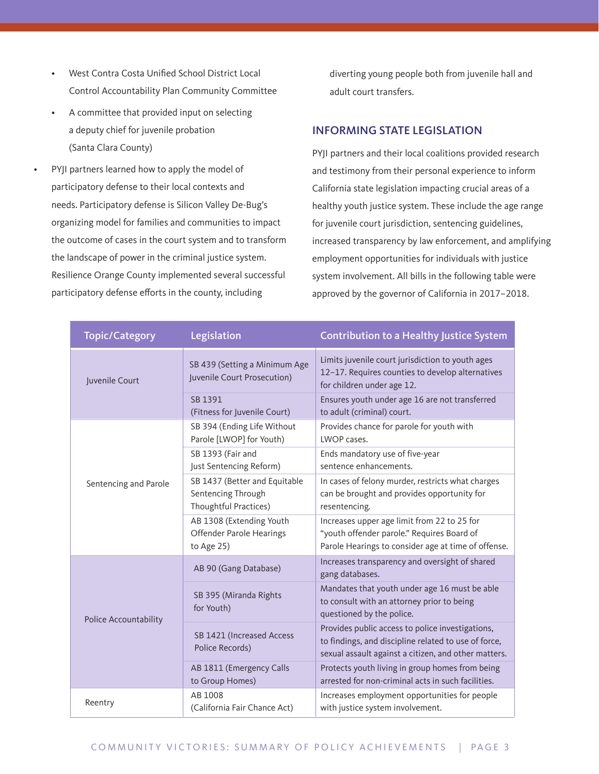- West Contra Costa Unified School District Local Control Accountability Plan Community Committee
- A committee that provided input on selecting a deputy chief for juvenile probation (Santa Clara County)

PYJI partners learned how to apply the model of participatory defense to their local contexts and needs. Participatory defense is Silicon Valley De-Bug's organizing model for families and communities to impact the outcome of cases in the court system and to transform the landscape of power in the criminal justice system. Resilience Orange County implemented several successful participatory defense efforts in the county, including

diverting young people both from juvenile hall and adult court transfers.

#### INFORMING STATE LEGISLATION

PYJI partners and their local coalitions provided research and testimony from their personal experience to inform California state legislation impacting crucial areas of a healthy youth justice system. These include the age range for juvenile court jurisdiction, sentencing guidelines, increased transparency by law enforcement, and amplifying employment opportunities for individuals with justice system involvement. All bills in the following table were approved by the governor of California in 2017–2018.

| <b>Topic/Category</b> | Legislation                                                                  | Contribution to a Healthy Justice System                                                                                                                         |
|-----------------------|------------------------------------------------------------------------------|------------------------------------------------------------------------------------------------------------------------------------------------------------------|
| Juvenile Court        | SB 439 (Setting a Minimum Age<br>Juvenile Court Prosecution)                 | Limits juvenile court jurisdiction to youth ages<br>12-17. Requires counties to develop alternatives<br>for children under age 12.                               |
|                       | SB 1391<br>(Fitness for Juvenile Court)                                      | Ensures youth under age 16 are not transferred<br>to adult (criminal) court.                                                                                     |
| Sentencing and Parole | SB 394 (Ending Life Without<br>Parole [LWOP] for Youth)                      | Provides chance for parole for youth with<br>LWOP cases.                                                                                                         |
|                       | SB 1393 (Fair and<br>Just Sentencing Reform)                                 | Ends mandatory use of five-year<br>sentence enhancements.                                                                                                        |
|                       | SB 1437 (Better and Equitable<br>Sentencing Through<br>Thoughtful Practices) | In cases of felony murder, restricts what charges<br>can be brought and provides opportunity for<br>resentencing.                                                |
|                       | AB 1308 (Extending Youth<br>Offender Parole Hearings<br>to Age 25)           | Increases upper age limit from 22 to 25 for<br>"youth offender parole." Requires Board of<br>Parole Hearings to consider age at time of offense.                 |
| Police Accountability | AB 90 (Gang Database)                                                        | Increases transparency and oversight of shared<br>gang databases.                                                                                                |
|                       | SB 395 (Miranda Rights<br>for Youth)                                         | Mandates that youth under age 16 must be able<br>to consult with an attorney prior to being<br>questioned by the police.                                         |
|                       | SB 1421 (Increased Access<br>Police Records)                                 | Provides public access to police investigations,<br>to findings, and discipline related to use of force,<br>sexual assault against a citizen, and other matters. |
|                       | AB 1811 (Emergency Calls<br>to Group Homes)                                  | Protects youth living in group homes from being<br>arrested for non-criminal acts in such facilities.                                                            |
| Reentry               | AB 1008<br>(California Fair Chance Act)                                      | Increases employment opportunities for people<br>with justice system involvement.                                                                                |